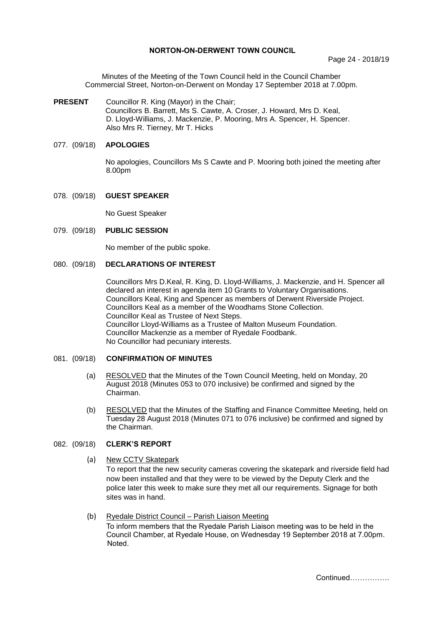### **NORTON-ON-DERWENT TOWN COUNCIL**

Minutes of the Meeting of the Town Council held in the Council Chamber Commercial Street, Norton-on-Derwent on Monday 17 September 2018 at 7.00pm.

# **PRESENT** Councillor R. King (Mayor) in the Chair;

Councillors B. Barrett, Ms S. Cawte, A. Croser, J. Howard, Mrs D. Keal, D. Lloyd-Williams, J. Mackenzie, P. Mooring, Mrs A. Spencer, H. Spencer. Also Mrs R. Tierney, Mr T. Hicks

# 077. (09/18) **APOLOGIES**

No apologies, Councillors Ms S Cawte and P. Mooring both joined the meeting after 8.00pm

## 078. (09/18) **GUEST SPEAKER**

No Guest Speaker

### 079. (09/18) **PUBLIC SESSION**

No member of the public spoke.

# 080. (09/18) **DECLARATIONS OF INTEREST**

Councillors Mrs D.Keal, R. King, D. Lloyd-Williams, J. Mackenzie, and H. Spencer all declared an interest in agenda item 10 Grants to Voluntary Organisations. Councillors Keal, King and Spencer as members of Derwent Riverside Project. Councillors Keal as a member of the Woodhams Stone Collection. Councillor Keal as Trustee of Next Steps. Councillor Lloyd-Williams as a Trustee of Malton Museum Foundation. Councillor Mackenzie as a member of Ryedale Foodbank. No Councillor had pecuniary interests.

#### 081. (09/18) **CONFIRMATION OF MINUTES**

- (a) RESOLVED that the Minutes of the Town Council Meeting, held on Monday, 20 August 2018 (Minutes 053 to 070 inclusive) be confirmed and signed by the Chairman.
- (b) RESOLVED that the Minutes of the Staffing and Finance Committee Meeting, held on Tuesday 28 August 2018 (Minutes 071 to 076 inclusive) be confirmed and signed by the Chairman.

# 082. (09/18) **CLERK'S REPORT**

(a) New CCTV Skatepark

To report that the new security cameras covering the skatepark and riverside field had now been installed and that they were to be viewed by the Deputy Clerk and the police later this week to make sure they met all our requirements. Signage for both sites was in hand.

 (b) Ryedale District Council – Parish Liaison Meeting To inform members that the Ryedale Parish Liaison meeting was to be held in the Council Chamber, at Ryedale House, on Wednesday 19 September 2018 at 7.00pm. Noted.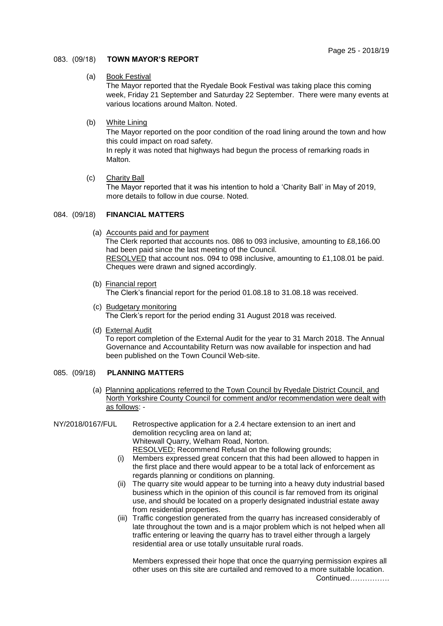# 083. (09/18) **TOWN MAYOR'S REPORT**

## (a) Book Festival

The Mayor reported that the Ryedale Book Festival was taking place this coming week, Friday 21 September and Saturday 22 September. There were many events at various locations around Malton. Noted.

# (b) White Lining

The Mayor reported on the poor condition of the road lining around the town and how this could impact on road safety.

In reply it was noted that highways had begun the process of remarking roads in Malton.

(c) Charity Ball

The Mayor reported that it was his intention to hold a 'Charity Ball' in May of 2019, more details to follow in due course. Noted.

## 084. (09/18) **FINANCIAL MATTERS**

- (a) Accounts paid and for payment The Clerk reported that accounts nos. 086 to 093 inclusive, amounting to £8,166.00 had been paid since the last meeting of the Council. RESOLVED that account nos. 094 to 098 inclusive, amounting to £1,108.01 be paid. Cheques were drawn and signed accordingly.
- (b) Financial report

The Clerk's financial report for the period 01.08.18 to 31.08.18 was received.

- (c) Budgetary monitoring The Clerk's report for the period ending 31 August 2018 was received.
- (d) External Audit

To report completion of the External Audit for the year to 31 March 2018. The Annual Governance and Accountability Return was now available for inspection and had been published on the Town Council Web-site.

# 085. (09/18) **PLANNING MATTERS**

(a) Planning applications referred to the Town Council by Ryedale District Council, and North Yorkshire County Council for comment and/or recommendation were dealt with as follows: -

# NY/2018/0167/FUL Retrospective application for a 2.4 hectare extension to an inert and demolition recycling area on land at; Whitewall Quarry, Welham Road, Norton.

- RESOLVED: Recommend Refusal on the following grounds; (i) Members expressed great concern that this had been allowed to happen in the first place and there would appear to be a total lack of enforcement as
- regards planning or conditions on planning. (ii) The quarry site would appear to be turning into a heavy duty industrial based
- business which in the opinion of this council is far removed from its original use, and should be located on a properly designated industrial estate away from residential properties.
- (iii) Traffic congestion generated from the quarry has increased considerably of late throughout the town and is a major problem which is not helped when all traffic entering or leaving the quarry has to travel either through a largely residential area or use totally unsuitable rural roads.

Members expressed their hope that once the quarrying permission expires all other uses on this site are curtailed and removed to a more suitable location.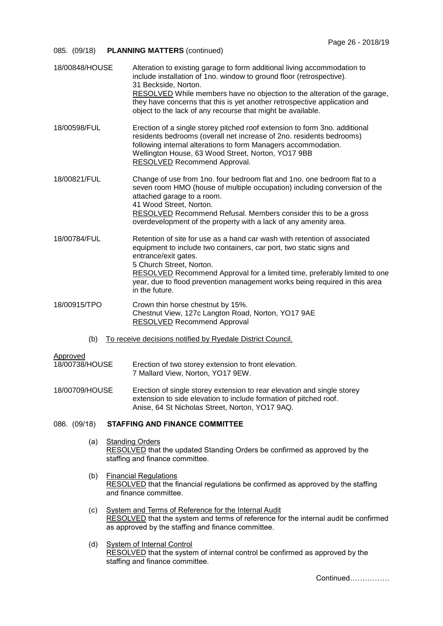# 085. (09/18) **PLANNING MATTERS** (continued)

| 18/00848/HOUSE                                                    | Alteration to existing garage to form additional living accommodation to<br>include installation of 1no. window to ground floor (retrospective).<br>31 Beckside, Norton.<br>RESOLVED While members have no objection to the alteration of the garage,<br>they have concerns that this is yet another retrospective application and<br>object to the lack of any recourse that might be available. |
|-------------------------------------------------------------------|---------------------------------------------------------------------------------------------------------------------------------------------------------------------------------------------------------------------------------------------------------------------------------------------------------------------------------------------------------------------------------------------------|
| 18/00598/FUL                                                      | Erection of a single storey pitched roof extension to form 3no. additional<br>residents bedrooms (overall net increase of 2no. residents bedrooms)<br>following internal alterations to form Managers accommodation.<br>Wellington House, 63 Wood Street, Norton, YO17 9BB<br>RESOLVED Recommend Approval.                                                                                        |
| 18/00821/FUL                                                      | Change of use from 1no. four bedroom flat and 1no. one bedroom flat to a<br>seven room HMO (house of multiple occupation) including conversion of the<br>attached garage to a room.<br>41 Wood Street, Norton.<br><b>RESOLVED</b> Recommend Refusal. Members consider this to be a gross<br>overdevelopment of the property with a lack of any amenity area.                                      |
| 18/00784/FUL                                                      | Retention of site for use as a hand car wash with retention of associated<br>equipment to include two containers, car port, two static signs and<br>entrance/exit gates.<br>5 Church Street, Norton.<br>RESOLVED Recommend Approval for a limited time, preferably limited to one<br>year, due to flood prevention management works being required in this area<br>in the future.                 |
| 18/00915/TPO                                                      | Crown thin horse chestnut by 15%.<br>Chestnut View, 127c Langton Road, Norton, YO17 9AE<br><b>RESOLVED</b> Recommend Approval                                                                                                                                                                                                                                                                     |
| To receive decisions notified by Ryedale District Council.<br>(b) |                                                                                                                                                                                                                                                                                                                                                                                                   |
| Approved<br>18/00738/HOUSE                                        | Erection of two storey extension to front elevation.<br>7 Mallard View, Norton, YO17 9EW.                                                                                                                                                                                                                                                                                                         |
| 18/00709/HOUSE                                                    | Erection of single storey extension to rear elevation and single storey<br>extension to side elevation to include formation of pitched roof.<br>Anise, 64 St Nicholas Street, Norton, YO17 9AQ.                                                                                                                                                                                                   |
| 086. (09/18)                                                      | <b>STAFFING AND FINANCE COMMITTEE</b>                                                                                                                                                                                                                                                                                                                                                             |
| (a)                                                               | <b>Standing Orders</b><br>RESOLVED that the updated Standing Orders be confirmed as approved by the<br>staffing and finance committee.                                                                                                                                                                                                                                                            |
| (b)                                                               | <b>Financial Regulations</b><br>RESOLVED that the financial regulations be confirmed as approved by the staffing<br>and finance committee.                                                                                                                                                                                                                                                        |
| (c)                                                               | <b>System and Terms of Reference for the Internal Audit</b><br>RESOLVED that the system and terms of reference for the internal audit be confirmed<br>as approved by the staffing and finance committee.                                                                                                                                                                                          |
| (d)                                                               | <b>System of Internal Control</b><br>RESOLVED that the system of internal control be confirmed as approved by the<br>staffing and finance committee.                                                                                                                                                                                                                                              |
|                                                                   | Continued                                                                                                                                                                                                                                                                                                                                                                                         |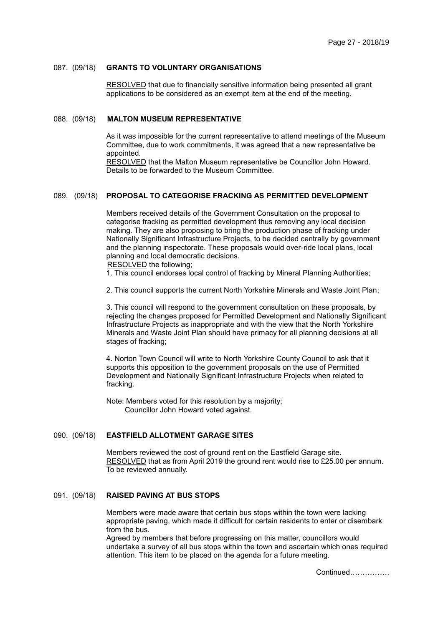#### 087. (09/18) **GRANTS TO VOLUNTARY ORGANISATIONS**

RESOLVED that due to financially sensitive information being presented all grant applications to be considered as an exempt item at the end of the meeting.

#### 088. (09/18) **MALTON MUSEUM REPRESENTATIVE**

As it was impossible for the current representative to attend meetings of the Museum Committee, due to work commitments, it was agreed that a new representative be appointed.

RESOLVED that the Malton Museum representative be Councillor John Howard. Details to be forwarded to the Museum Committee.

# 089. (09/18) **PROPOSAL TO CATEGORISE FRACKING AS PERMITTED DEVELOPMENT**

Members received details of the Government Consultation on the proposal to categorise fracking as permitted development thus removing any local decision making. They are also proposing to bring the production phase of fracking under Nationally Significant Infrastructure Projects, to be decided centrally by government and the planning inspectorate. These proposals would over-ride local plans, local planning and local democratic decisions. RESOLVED the following;

1. This council endorses local control of fracking by Mineral Planning Authorities;

2. This council supports the current North Yorkshire Minerals and Waste Joint Plan;

3. This council will respond to the government consultation on these proposals, by rejecting the changes proposed for Permitted Development and Nationally Significant Infrastructure Projects as inappropriate and with the view that the North Yorkshire Minerals and Waste Joint Plan should have primacy for all planning decisions at all stages of fracking;

4. Norton Town Council will write to North Yorkshire County Council to ask that it supports this opposition to the government proposals on the use of Permitted Development and Nationally Significant Infrastructure Projects when related to fracking.

Note: Members voted for this resolution by a majority; Councillor John Howard voted against.

# 090. (09/18) **EASTFIELD ALLOTMENT GARAGE SITES**

Members reviewed the cost of ground rent on the Eastfield Garage site. RESOLVED that as from April 2019 the ground rent would rise to £25.00 per annum. To be reviewed annually.

# 091. (09/18) **RAISED PAVING AT BUS STOPS**

Members were made aware that certain bus stops within the town were lacking appropriate paving, which made it difficult for certain residents to enter or disembark from the bus.

Agreed by members that before progressing on this matter, councillors would undertake a survey of all bus stops within the town and ascertain which ones required attention. This item to be placed on the agenda for a future meeting.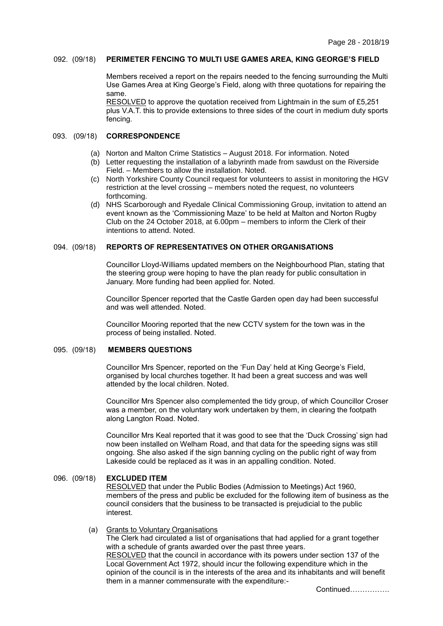#### 092. (09/18) **PERIMETER FENCING TO MULTI USE GAMES AREA, KING GEORGE'S FIELD**

Members received a report on the repairs needed to the fencing surrounding the Multi Use Games Area at King George's Field, along with three quotations for repairing the same.

RESOLVED to approve the quotation received from Lightmain in the sum of £5,251 plus V.A.T. this to provide extensions to three sides of the court in medium duty sports fencing.

#### 093. (09/18) **CORRESPONDENCE**

- (a) Norton and Malton Crime Statistics August 2018. For information. Noted
- (b) Letter requesting the installation of a labyrinth made from sawdust on the Riverside Field. – Members to allow the installation. Noted.
- (c) North Yorkshire County Council request for volunteers to assist in monitoring the HGV restriction at the level crossing – members noted the request, no volunteers forthcoming.
- (d) NHS Scarborough and Ryedale Clinical Commissioning Group, invitation to attend an event known as the 'Commissioning Maze' to be held at Malton and Norton Rugby Club on the 24 October 2018, at 6.00pm – members to inform the Clerk of their intentions to attend. Noted.

# 094. (09/18) **REPORTS OF REPRESENTATIVES ON OTHER ORGANISATIONS**

Councillor Lloyd-Williams updated members on the Neighbourhood Plan, stating that the steering group were hoping to have the plan ready for public consultation in January. More funding had been applied for. Noted.

Councillor Spencer reported that the Castle Garden open day had been successful and was well attended. Noted.

Councillor Mooring reported that the new CCTV system for the town was in the process of being installed. Noted.

#### 095. (09/18) **MEMBERS QUESTIONS**

Councillor Mrs Spencer, reported on the 'Fun Day' held at King George's Field, organised by local churches together. It had been a great success and was well attended by the local children. Noted.

Councillor Mrs Spencer also complemented the tidy group, of which Councillor Croser was a member, on the voluntary work undertaken by them, in clearing the footpath along Langton Road. Noted.

Councillor Mrs Keal reported that it was good to see that the 'Duck Crossing' sign had now been installed on Welham Road, and that data for the speeding signs was still ongoing. She also asked if the sign banning cycling on the public right of way from Lakeside could be replaced as it was in an appalling condition. Noted.

#### 096. (09/18) **EXCLUDED ITEM**

RESOLVED that under the Public Bodies (Admission to Meetings) Act 1960, members of the press and public be excluded for the following item of business as the council considers that the business to be transacted is prejudicial to the public interest.

#### (a) Grants to Voluntary Organisations

The Clerk had circulated a list of organisations that had applied for a grant together with a schedule of grants awarded over the past three years. RESOLVED that the council in accordance with its powers under section 137 of the Local Government Act 1972, should incur the following expenditure which in the opinion of the council is in the interests of the area and its inhabitants and will benefit them in a manner commensurate with the expenditure:-